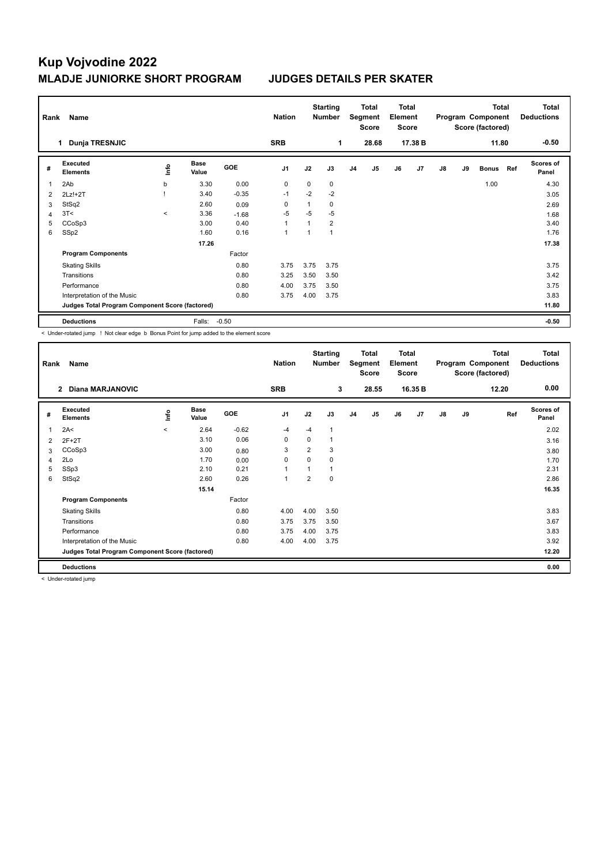| Rank           | Name                                            |         |                      |            | <b>Nation</b>  | <b>Starting</b><br><b>Number</b> |      |                | Total<br><b>Total</b><br>Segment<br>Element<br><b>Score</b><br><b>Score</b> |    |         |    | Program Component<br>Score (factored) | Total        | <b>Total</b><br><b>Deductions</b> |                           |
|----------------|-------------------------------------------------|---------|----------------------|------------|----------------|----------------------------------|------|----------------|-----------------------------------------------------------------------------|----|---------|----|---------------------------------------|--------------|-----------------------------------|---------------------------|
|                | Dunja TRESNJIC<br>1                             |         |                      |            | <b>SRB</b>     |                                  | 1    |                | 28.68                                                                       |    | 17.38 B |    |                                       | 11.80        |                                   | $-0.50$                   |
| #              | Executed<br><b>Elements</b>                     | ١nfo    | <b>Base</b><br>Value | <b>GOE</b> | J <sub>1</sub> | J2                               | J3   | J <sub>4</sub> | J <sub>5</sub>                                                              | J6 | J7      | J8 | J9                                    | <b>Bonus</b> | Ref                               | <b>Scores of</b><br>Panel |
| 1              | 2Ab                                             | b       | 3.30                 | 0.00       | 0              | 0                                | 0    |                |                                                                             |    |         |    |                                       | 1.00         |                                   | 4.30                      |
| 2              | $2Lz!+2T$                                       |         | 3.40                 | $-0.35$    | $-1$           | $-2$                             | $-2$ |                |                                                                             |    |         |    |                                       |              |                                   | 3.05                      |
| 3              | StSq2                                           |         | 2.60                 | 0.09       | 0              | 1                                | 0    |                |                                                                             |    |         |    |                                       |              |                                   | 2.69                      |
| $\overline{4}$ | 3T<                                             | $\prec$ | 3.36                 | $-1.68$    | $-5$           | $-5$                             | $-5$ |                |                                                                             |    |         |    |                                       |              |                                   | 1.68                      |
| 5              | CCoSp3                                          |         | 3.00                 | 0.40       | $\overline{1}$ |                                  | 2    |                |                                                                             |    |         |    |                                       |              |                                   | 3.40                      |
| 6              | SSp2                                            |         | 1.60                 | 0.16       | $\overline{1}$ |                                  |      |                |                                                                             |    |         |    |                                       |              |                                   | 1.76                      |
|                |                                                 |         | 17.26                |            |                |                                  |      |                |                                                                             |    |         |    |                                       |              |                                   | 17.38                     |
|                | <b>Program Components</b>                       |         |                      | Factor     |                |                                  |      |                |                                                                             |    |         |    |                                       |              |                                   |                           |
|                | <b>Skating Skills</b>                           |         |                      | 0.80       | 3.75           | 3.75                             | 3.75 |                |                                                                             |    |         |    |                                       |              |                                   | 3.75                      |
|                | Transitions                                     |         |                      | 0.80       | 3.25           | 3.50                             | 3.50 |                |                                                                             |    |         |    |                                       |              |                                   | 3.42                      |
|                | Performance                                     |         |                      | 0.80       | 4.00           | 3.75                             | 3.50 |                |                                                                             |    |         |    |                                       |              |                                   | 3.75                      |
|                | Interpretation of the Music                     |         |                      | 0.80       | 3.75           | 4.00                             | 3.75 |                |                                                                             |    |         |    |                                       |              |                                   | 3.83                      |
|                | Judges Total Program Component Score (factored) |         |                      |            |                |                                  |      |                |                                                                             |    |         |    |                                       |              |                                   | 11.80                     |
|                | <b>Deductions</b>                               |         | Falls:               | $-0.50$    |                |                                  |      |                |                                                                             |    |         |    |                                       |              |                                   | $-0.50$                   |

< Under-rotated jump ! Not clear edge b Bonus Point for jump added to the element score

| Rank           | Name                                            |         |                      |            | <b>Nation</b>  |                | <b>Starting</b><br><b>Number</b> |                | <b>Total</b><br>Segment<br><b>Score</b> | <b>Total</b><br>Element<br><b>Score</b> |                |    |    | <b>Total</b><br>Program Component<br>Score (factored) | <b>Total</b><br><b>Deductions</b> |
|----------------|-------------------------------------------------|---------|----------------------|------------|----------------|----------------|----------------------------------|----------------|-----------------------------------------|-----------------------------------------|----------------|----|----|-------------------------------------------------------|-----------------------------------|
|                | <b>Diana MARJANOVIC</b><br>$\mathbf{2}$         |         |                      |            | <b>SRB</b>     |                | 3                                |                | 28.55                                   |                                         | 16.35 B        |    |    | 12.20                                                 | 0.00                              |
| #              | Executed<br><b>Elements</b>                     | ١nf٥    | <b>Base</b><br>Value | <b>GOE</b> | J <sub>1</sub> | J2             | J3                               | J <sub>4</sub> | J <sub>5</sub>                          | J6                                      | J <sub>7</sub> | J8 | J9 | Ref                                                   | <b>Scores of</b><br>Panel         |
| $\overline{1}$ | 2A<                                             | $\prec$ | 2.64                 | $-0.62$    | $-4$           | $-4$           | 1                                |                |                                         |                                         |                |    |    |                                                       | 2.02                              |
| 2              | $2F+2T$                                         |         | 3.10                 | 0.06       | 0              | 0              |                                  |                |                                         |                                         |                |    |    |                                                       | 3.16                              |
| 3              | CCoSp3                                          |         | 3.00                 | 0.80       | 3              | $\overline{2}$ | 3                                |                |                                         |                                         |                |    |    |                                                       | 3.80                              |
| 4              | 2Lo                                             |         | 1.70                 | 0.00       | 0              | $\Omega$       | 0                                |                |                                         |                                         |                |    |    |                                                       | 1.70                              |
| 5              | SSp3                                            |         | 2.10                 | 0.21       | 1              | 1              |                                  |                |                                         |                                         |                |    |    |                                                       | 2.31                              |
| 6              | StSq2                                           |         | 2.60                 | 0.26       | $\overline{1}$ | $\overline{2}$ | $\mathbf 0$                      |                |                                         |                                         |                |    |    |                                                       | 2.86                              |
|                |                                                 |         | 15.14                |            |                |                |                                  |                |                                         |                                         |                |    |    |                                                       | 16.35                             |
|                | <b>Program Components</b>                       |         |                      | Factor     |                |                |                                  |                |                                         |                                         |                |    |    |                                                       |                                   |
|                | <b>Skating Skills</b>                           |         |                      | 0.80       | 4.00           | 4.00           | 3.50                             |                |                                         |                                         |                |    |    |                                                       | 3.83                              |
|                | Transitions                                     |         |                      | 0.80       | 3.75           | 3.75           | 3.50                             |                |                                         |                                         |                |    |    |                                                       | 3.67                              |
|                | Performance                                     |         |                      | 0.80       | 3.75           | 4.00           | 3.75                             |                |                                         |                                         |                |    |    |                                                       | 3.83                              |
|                | Interpretation of the Music                     |         |                      | 0.80       | 4.00           | 4.00           | 3.75                             |                |                                         |                                         |                |    |    |                                                       | 3.92                              |
|                | Judges Total Program Component Score (factored) |         |                      |            |                |                |                                  |                |                                         |                                         |                |    |    |                                                       | 12.20                             |
|                | <b>Deductions</b>                               |         |                      |            |                |                |                                  |                |                                         |                                         |                |    |    |                                                       | 0.00                              |

< Under-rotated jump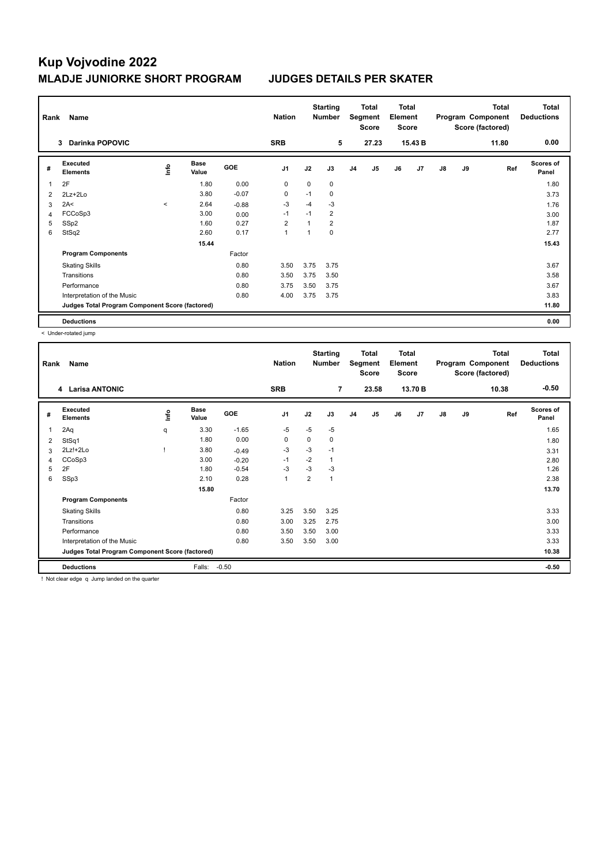| Rank | Name                                            |             |                      |            | <b>Nation</b>  |      | <b>Starting</b><br><b>Number</b> |                | Total<br>Segment<br><b>Score</b> | Total<br>Element<br><b>Score</b> |                |    |    | <b>Total</b><br>Program Component<br>Score (factored) | <b>Total</b><br><b>Deductions</b> |
|------|-------------------------------------------------|-------------|----------------------|------------|----------------|------|----------------------------------|----------------|----------------------------------|----------------------------------|----------------|----|----|-------------------------------------------------------|-----------------------------------|
|      | <b>Darinka POPOVIC</b><br>3                     |             |                      |            | <b>SRB</b>     |      | 5                                |                | 27.23                            |                                  | 15.43 B        |    |    | 11.80                                                 | 0.00                              |
| #    | Executed<br><b>Elements</b>                     | <b>Info</b> | <b>Base</b><br>Value | <b>GOE</b> | J <sub>1</sub> | J2   | J3                               | J <sub>4</sub> | J <sub>5</sub>                   | J6                               | J <sub>7</sub> | J8 | J9 | Ref                                                   | <b>Scores of</b><br>Panel         |
| 1    | 2F                                              |             | 1.80                 | 0.00       | 0              | 0    | 0                                |                |                                  |                                  |                |    |    |                                                       | 1.80                              |
| 2    | $2Lz+2Lo$                                       |             | 3.80                 | $-0.07$    | 0              | $-1$ | $\mathbf 0$                      |                |                                  |                                  |                |    |    |                                                       | 3.73                              |
| 3    | 2A<                                             | $\prec$     | 2.64                 | $-0.88$    | $-3$           | $-4$ | $-3$                             |                |                                  |                                  |                |    |    |                                                       | 1.76                              |
| 4    | FCCoSp3                                         |             | 3.00                 | 0.00       | $-1$           | $-1$ | $\overline{2}$                   |                |                                  |                                  |                |    |    |                                                       | 3.00                              |
| 5    | SSp2                                            |             | 1.60                 | 0.27       | $\overline{2}$ |      | $\overline{2}$                   |                |                                  |                                  |                |    |    |                                                       | 1.87                              |
| 6    | StSq2                                           |             | 2.60                 | 0.17       | 1              |      | 0                                |                |                                  |                                  |                |    |    |                                                       | 2.77                              |
|      |                                                 |             | 15.44                |            |                |      |                                  |                |                                  |                                  |                |    |    |                                                       | 15.43                             |
|      | <b>Program Components</b>                       |             |                      | Factor     |                |      |                                  |                |                                  |                                  |                |    |    |                                                       |                                   |
|      | <b>Skating Skills</b>                           |             |                      | 0.80       | 3.50           | 3.75 | 3.75                             |                |                                  |                                  |                |    |    |                                                       | 3.67                              |
|      | Transitions                                     |             |                      | 0.80       | 3.50           | 3.75 | 3.50                             |                |                                  |                                  |                |    |    |                                                       | 3.58                              |
|      | Performance                                     |             |                      | 0.80       | 3.75           | 3.50 | 3.75                             |                |                                  |                                  |                |    |    |                                                       | 3.67                              |
|      | Interpretation of the Music                     |             |                      | 0.80       | 4.00           | 3.75 | 3.75                             |                |                                  |                                  |                |    |    |                                                       | 3.83                              |
|      | Judges Total Program Component Score (factored) |             |                      |            |                |      |                                  |                |                                  |                                  |                |    |    |                                                       | 11.80                             |
|      | <b>Deductions</b>                               |             |                      |            |                |      |                                  |                |                                  |                                  |                |    |    |                                                       | 0.00                              |

< Under-rotated jump

| Rank           | Name                                            |      |                      |            | <b>Nation</b>  | <b>Starting</b><br><b>Number</b> |              | <b>Total</b><br>Segment<br><b>Score</b> |                | <b>Total</b><br>Element<br><b>Score</b> |         | <b>Total</b><br>Program Component<br>Score (factored) |    |       | Total<br><b>Deductions</b> |
|----------------|-------------------------------------------------|------|----------------------|------------|----------------|----------------------------------|--------------|-----------------------------------------|----------------|-----------------------------------------|---------|-------------------------------------------------------|----|-------|----------------------------|
|                | 4 Larisa ANTONIC                                |      |                      |            | <b>SRB</b>     |                                  | 7            |                                         | 23.58          |                                         | 13.70 B |                                                       |    | 10.38 | $-0.50$                    |
| #              | Executed<br><b>Elements</b>                     | ١nf٥ | <b>Base</b><br>Value | <b>GOE</b> | J <sub>1</sub> | J2                               | J3           | J <sub>4</sub>                          | J <sub>5</sub> | J6                                      | J7      | J8                                                    | J9 | Ref   | <b>Scores of</b><br>Panel  |
| 1              | 2Aq                                             | q    | 3.30                 | $-1.65$    | $-5$           | $-5$                             | $-5$         |                                         |                |                                         |         |                                                       |    |       | 1.65                       |
| $\overline{2}$ | StSq1                                           |      | 1.80                 | 0.00       | $\Omega$       | $\Omega$                         | $\Omega$     |                                         |                |                                         |         |                                                       |    |       | 1.80                       |
| 3              | 2Lz!+2Lo                                        |      | 3.80                 | $-0.49$    | -3             | $-3$                             | $-1$         |                                         |                |                                         |         |                                                       |    |       | 3.31                       |
| 4              | CCoSp3                                          |      | 3.00                 | $-0.20$    | $-1$           | $-2$                             | $\mathbf{1}$ |                                         |                |                                         |         |                                                       |    |       | 2.80                       |
| 5              | 2F                                              |      | 1.80                 | $-0.54$    | $-3$           | $-3$                             | $-3$         |                                         |                |                                         |         |                                                       |    |       | 1.26                       |
| 6              | SSp3                                            |      | 2.10                 | 0.28       | $\overline{1}$ | 2                                | 1            |                                         |                |                                         |         |                                                       |    |       | 2.38                       |
|                |                                                 |      | 15.80                |            |                |                                  |              |                                         |                |                                         |         |                                                       |    |       | 13.70                      |
|                | <b>Program Components</b>                       |      |                      | Factor     |                |                                  |              |                                         |                |                                         |         |                                                       |    |       |                            |
|                | <b>Skating Skills</b>                           |      |                      | 0.80       | 3.25           | 3.50                             | 3.25         |                                         |                |                                         |         |                                                       |    |       | 3.33                       |
|                | Transitions                                     |      |                      | 0.80       | 3.00           | 3.25                             | 2.75         |                                         |                |                                         |         |                                                       |    |       | 3.00                       |
|                | Performance                                     |      |                      | 0.80       | 3.50           | 3.50                             | 3.00         |                                         |                |                                         |         |                                                       |    |       | 3.33                       |
|                | Interpretation of the Music                     |      |                      | 0.80       | 3.50           | 3.50                             | 3.00         |                                         |                |                                         |         |                                                       |    |       | 3.33                       |
|                | Judges Total Program Component Score (factored) |      |                      |            |                |                                  |              |                                         |                |                                         |         |                                                       |    |       | 10.38                      |
|                | <b>Deductions</b>                               |      | Falls:               | $-0.50$    |                |                                  |              |                                         |                |                                         |         |                                                       |    |       | $-0.50$                    |

! Not clear edge q Jump landed on the quarter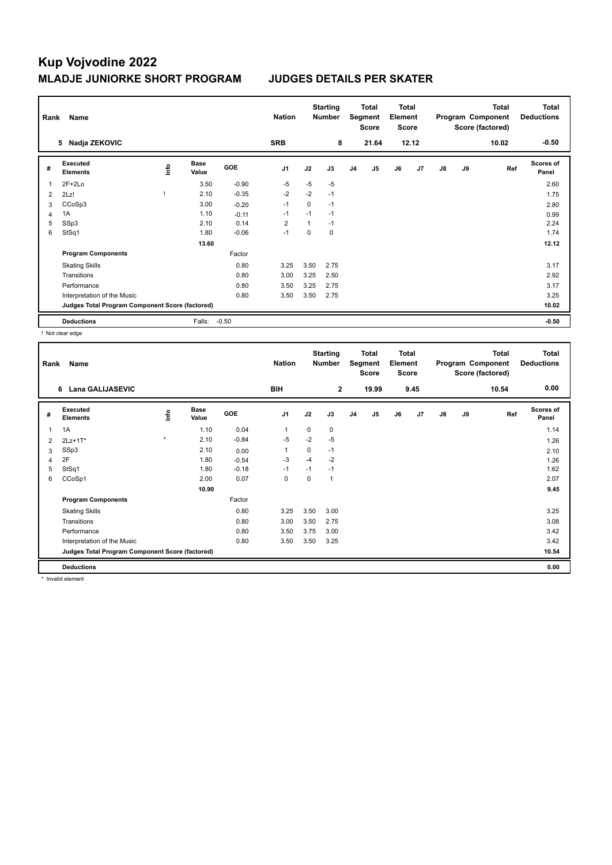| Rank | Name                                            |             | <b>Nation</b>        |            | <b>Starting</b><br><b>Number</b> |      | <b>Total</b><br><b>Total</b><br>Element<br>Segment<br><b>Score</b><br><b>Score</b> |                | <b>Total</b><br>Program Component<br>Score (factored) |    |                | <b>Total</b><br><b>Deductions</b> |    |       |                           |
|------|-------------------------------------------------|-------------|----------------------|------------|----------------------------------|------|------------------------------------------------------------------------------------|----------------|-------------------------------------------------------|----|----------------|-----------------------------------|----|-------|---------------------------|
|      | Nadja ZEKOVIC<br>5                              |             |                      |            | <b>SRB</b>                       |      | 8                                                                                  |                | 21.64                                                 |    | 12.12          |                                   |    | 10.02 | $-0.50$                   |
| #    | Executed<br><b>Elements</b>                     | <b>Info</b> | <b>Base</b><br>Value | <b>GOE</b> | J <sub>1</sub>                   | J2   | J3                                                                                 | J <sub>4</sub> | J <sub>5</sub>                                        | J6 | J <sub>7</sub> | J8                                | J9 | Ref   | <b>Scores of</b><br>Panel |
| 1    | $2F+2Lo$                                        |             | 3.50                 | $-0.90$    | $-5$                             | $-5$ | $-5$                                                                               |                |                                                       |    |                |                                   |    |       | 2.60                      |
| 2    | 2Lz!                                            |             | 2.10                 | $-0.35$    | $-2$                             | $-2$ | $-1$                                                                               |                |                                                       |    |                |                                   |    |       | 1.75                      |
| 3    | CCoSp3                                          |             | 3.00                 | $-0.20$    | $-1$                             | 0    | $-1$                                                                               |                |                                                       |    |                |                                   |    |       | 2.80                      |
| 4    | 1A                                              |             | 1.10                 | $-0.11$    | -1                               | $-1$ | $-1$                                                                               |                |                                                       |    |                |                                   |    |       | 0.99                      |
| 5    | SSp3                                            |             | 2.10                 | 0.14       | $\overline{2}$                   |      | $-1$                                                                               |                |                                                       |    |                |                                   |    |       | 2.24                      |
| 6    | StSq1                                           |             | 1.80                 | $-0.06$    | $-1$                             | 0    | 0                                                                                  |                |                                                       |    |                |                                   |    |       | 1.74                      |
|      |                                                 |             | 13.60                |            |                                  |      |                                                                                    |                |                                                       |    |                |                                   |    |       | 12.12                     |
|      | <b>Program Components</b>                       |             |                      | Factor     |                                  |      |                                                                                    |                |                                                       |    |                |                                   |    |       |                           |
|      | <b>Skating Skills</b>                           |             |                      | 0.80       | 3.25                             | 3.50 | 2.75                                                                               |                |                                                       |    |                |                                   |    |       | 3.17                      |
|      | Transitions                                     |             |                      | 0.80       | 3.00                             | 3.25 | 2.50                                                                               |                |                                                       |    |                |                                   |    |       | 2.92                      |
|      | Performance                                     |             |                      | 0.80       | 3.50                             | 3.25 | 2.75                                                                               |                |                                                       |    |                |                                   |    |       | 3.17                      |
|      | Interpretation of the Music                     |             |                      | 0.80       | 3.50                             | 3.50 | 2.75                                                                               |                |                                                       |    |                |                                   |    |       | 3.25                      |
|      | Judges Total Program Component Score (factored) |             |                      |            |                                  |      |                                                                                    |                |                                                       |    |                |                                   |    |       | 10.02                     |
|      | <b>Deductions</b>                               |             | Falls:               | $-0.50$    |                                  |      |                                                                                    |                |                                                       |    |                |                                   |    |       | $-0.50$                   |

! Not clear edge

|                | Name<br>Rank                                    |          |                      |            |                | <b>Starting</b><br><b>Nation</b><br><b>Number</b> |                | <b>Total</b><br>Segment<br><b>Score</b> |                | <b>Total</b><br>Element<br><b>Score</b> |      | <b>Total</b><br>Program Component<br>Score (factored) |    |       | <b>Total</b><br><b>Deductions</b> |
|----------------|-------------------------------------------------|----------|----------------------|------------|----------------|---------------------------------------------------|----------------|-----------------------------------------|----------------|-----------------------------------------|------|-------------------------------------------------------|----|-------|-----------------------------------|
|                | <b>Lana GALIJASEVIC</b><br>6                    |          |                      |            | <b>BIH</b>     |                                                   | $\overline{2}$ |                                         | 19.99          |                                         | 9.45 |                                                       |    | 10.54 | 0.00                              |
| #              | Executed<br><b>Elements</b>                     | <u>f</u> | <b>Base</b><br>Value | <b>GOE</b> | J <sub>1</sub> | J2                                                | J3             | J <sub>4</sub>                          | J <sub>5</sub> | J6                                      | J7   | J8                                                    | J9 | Ref   | Scores of<br>Panel                |
| 1              | 1A                                              |          | 1.10                 | 0.04       | $\overline{1}$ | 0                                                 | 0              |                                         |                |                                         |      |                                                       |    |       | 1.14                              |
| $\overline{2}$ | $2Lz+1T*$                                       | $\star$  | 2.10                 | $-0.84$    | $-5$           | $-2$                                              | $-5$           |                                         |                |                                         |      |                                                       |    |       | 1.26                              |
| 3              | SSp3                                            |          | 2.10                 | 0.00       | 1              | 0                                                 | $-1$           |                                         |                |                                         |      |                                                       |    |       | 2.10                              |
| 4              | 2F                                              |          | 1.80                 | $-0.54$    | -3             | $-4$                                              | $-2$           |                                         |                |                                         |      |                                                       |    |       | 1.26                              |
| 5              | StSq1                                           |          | 1.80                 | $-0.18$    | $-1$           | $-1$                                              | $-1$           |                                         |                |                                         |      |                                                       |    |       | 1.62                              |
| 6              | CCoSp1                                          |          | 2.00                 | 0.07       | $\mathbf 0$    | $\Omega$                                          | 1              |                                         |                |                                         |      |                                                       |    |       | 2.07                              |
|                |                                                 |          | 10.90                |            |                |                                                   |                |                                         |                |                                         |      |                                                       |    |       | 9.45                              |
|                | <b>Program Components</b>                       |          |                      | Factor     |                |                                                   |                |                                         |                |                                         |      |                                                       |    |       |                                   |
|                | <b>Skating Skills</b>                           |          |                      | 0.80       | 3.25           | 3.50                                              | 3.00           |                                         |                |                                         |      |                                                       |    |       | 3.25                              |
|                | Transitions                                     |          |                      | 0.80       | 3.00           | 3.50                                              | 2.75           |                                         |                |                                         |      |                                                       |    |       | 3.08                              |
|                | Performance                                     |          |                      | 0.80       | 3.50           | 3.75                                              | 3.00           |                                         |                |                                         |      |                                                       |    |       | 3.42                              |
|                | Interpretation of the Music                     |          |                      | 0.80       | 3.50           | 3.50                                              | 3.25           |                                         |                |                                         |      |                                                       |    |       | 3.42                              |
|                | Judges Total Program Component Score (factored) |          |                      |            |                |                                                   |                |                                         |                |                                         |      |                                                       |    |       | 10.54                             |
|                | <b>Deductions</b>                               |          |                      |            |                |                                                   |                |                                         |                |                                         |      |                                                       |    |       | 0.00                              |

\* Invalid element